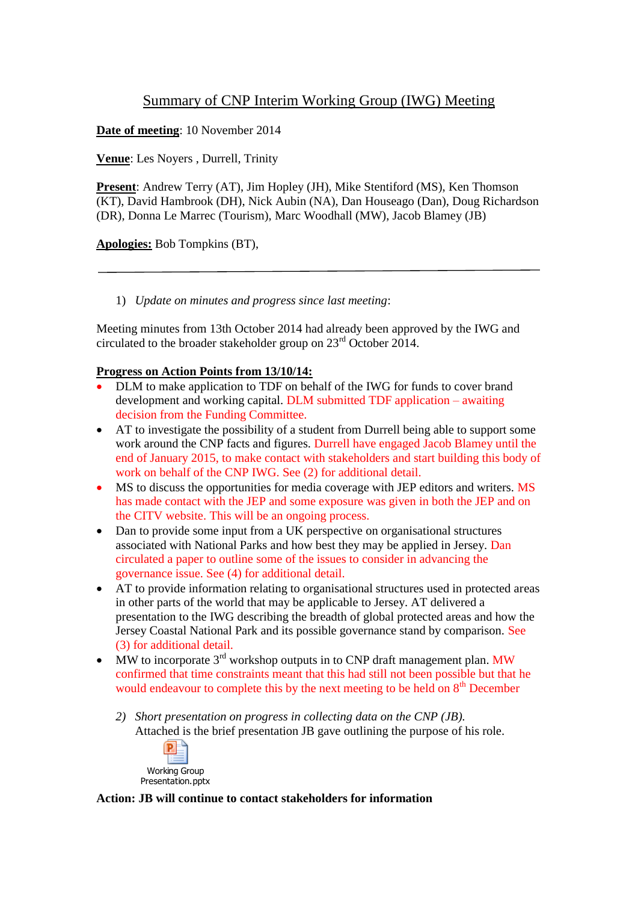# Summary of CNP Interim Working Group (IWG) Meeting

**Date of meeting**: 10 November 2014

**Venue**: Les Noyers , Durrell, Trinity

**Present**: Andrew Terry (AT), Jim Hopley (JH), Mike Stentiford (MS), Ken Thomson (KT), David Hambrook (DH), Nick Aubin (NA), Dan Houseago (Dan), Doug Richardson (DR), Donna Le Marrec (Tourism), Marc Woodhall (MW), Jacob Blamey (JB)

**Apologies:** Bob Tompkins (BT),

1) *Update on minutes and progress since last meeting*:

Meeting minutes from 13th October 2014 had already been approved by the IWG and circulated to the broader stakeholder group on 23rd October 2014.

## **Progress on Action Points from 13/10/14:**

- DLM to make application to TDF on behalf of the IWG for funds to cover brand development and working capital. DLM submitted TDF application – awaiting decision from the Funding Committee.
- AT to investigate the possibility of a student from Durrell being able to support some work around the CNP facts and figures. Durrell have engaged Jacob Blamey until the end of January 2015, to make contact with stakeholders and start building this body of work on behalf of the CNP IWG. See (2) for additional detail.
- MS to discuss the opportunities for media coverage with JEP editors and writers. MS has made contact with the JEP and some exposure was given in both the JEP and on the CITV website. This will be an ongoing process.
- Dan to provide some input from a UK perspective on organisational structures associated with National Parks and how best they may be applied in Jersey. Dan circulated a paper to outline some of the issues to consider in advancing the governance issue. See (4) for additional detail.
- AT to provide information relating to organisational structures used in protected areas in other parts of the world that may be applicable to Jersey. AT delivered a presentation to the IWG describing the breadth of global protected areas and how the Jersey Coastal National Park and its possible governance stand by comparison. See (3) for additional detail.
- $\bullet$  MW to incorporate 3<sup>rd</sup> workshop outputs in to CNP draft management plan. MW confirmed that time constraints meant that this had still not been possible but that he would endeavour to complete this by the next meeting to be held on  $8<sup>th</sup>$  December
	- *2) Short presentation on progress in collecting data on the CNP (JB).* Attached is the brief presentation JB gave outlining the purpose of his role.



**Action: JB will continue to contact stakeholders for information**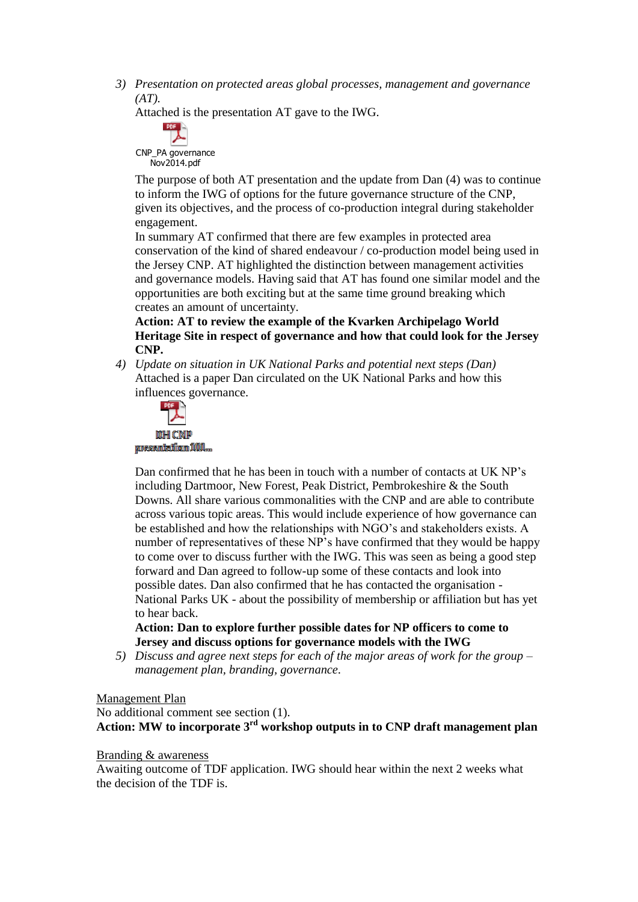*3) Presentation on protected areas global processes, management and governance (AT).*

Attached is the presentation AT gave to the IWG.

CNP\_PA governance Nov2014.pdf

The purpose of both AT presentation and the update from Dan (4) was to continue to inform the IWG of options for the future governance structure of the CNP, given its objectives, and the process of co-production integral during stakeholder engagement.

In summary AT confirmed that there are few examples in protected area conservation of the kind of shared endeavour / co-production model being used in the Jersey CNP. AT highlighted the distinction between management activities and governance models. Having said that AT has found one similar model and the opportunities are both exciting but at the same time ground breaking which creates an amount of uncertainty.

**Action: AT to review the example of the Kvarken Archipelago World Heritage Site in respect of governance and how that could look for the Jersey CNP.** 

*4) Update on situation in UK National Parks and potential next steps (Dan)* Attached is a paper Dan circulated on the UK National Parks and how this influences governance.



Dan confirmed that he has been in touch with a number of contacts at UK NP's including Dartmoor, New Forest, Peak District, Pembrokeshire & the South Downs. All share various commonalities with the CNP and are able to contribute across various topic areas. This would include experience of how governance can be established and how the relationships with NGO's and stakeholders exists. A number of representatives of these NP's have confirmed that they would be happy to come over to discuss further with the IWG. This was seen as being a good step forward and Dan agreed to follow-up some of these contacts and look into possible dates. Dan also confirmed that he has contacted the organisation - National Parks UK - about the possibility of membership or affiliation but has yet to hear back.

**Action: Dan to explore further possible dates for NP officers to come to Jersey and discuss options for governance models with the IWG**

*5) Discuss and agree next steps for each of the major areas of work for the group – management plan, branding, governance.*

#### Management Plan

No additional comment see section (1). **Action: MW to incorporate 3rd workshop outputs in to CNP draft management plan**

## Branding & awareness

Awaiting outcome of TDF application. IWG should hear within the next 2 weeks what the decision of the TDF is.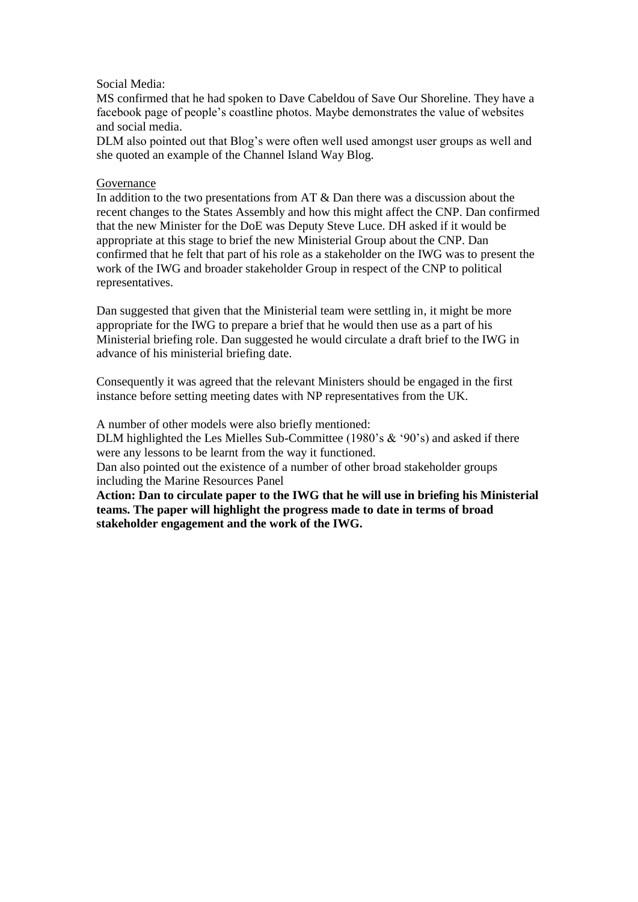### Social Media:

MS confirmed that he had spoken to Dave Cabeldou of Save Our Shoreline. They have a facebook page of people's coastline photos. Maybe demonstrates the value of websites and social media.

DLM also pointed out that Blog's were often well used amongst user groups as well and she quoted an example of the Channel Island Way Blog.

#### Governance

In addition to the two presentations from AT & Dan there was a discussion about the recent changes to the States Assembly and how this might affect the CNP. Dan confirmed that the new Minister for the DoE was Deputy Steve Luce. DH asked if it would be appropriate at this stage to brief the new Ministerial Group about the CNP. Dan confirmed that he felt that part of his role as a stakeholder on the IWG was to present the work of the IWG and broader stakeholder Group in respect of the CNP to political representatives.

Dan suggested that given that the Ministerial team were settling in, it might be more appropriate for the IWG to prepare a brief that he would then use as a part of his Ministerial briefing role. Dan suggested he would circulate a draft brief to the IWG in advance of his ministerial briefing date.

Consequently it was agreed that the relevant Ministers should be engaged in the first instance before setting meeting dates with NP representatives from the UK.

A number of other models were also briefly mentioned:

DLM highlighted the Les Mielles Sub-Committee (1980's & '90's) and asked if there were any lessons to be learnt from the way it functioned.

Dan also pointed out the existence of a number of other broad stakeholder groups including the Marine Resources Panel

**Action: Dan to circulate paper to the IWG that he will use in briefing his Ministerial teams. The paper will highlight the progress made to date in terms of broad stakeholder engagement and the work of the IWG.**